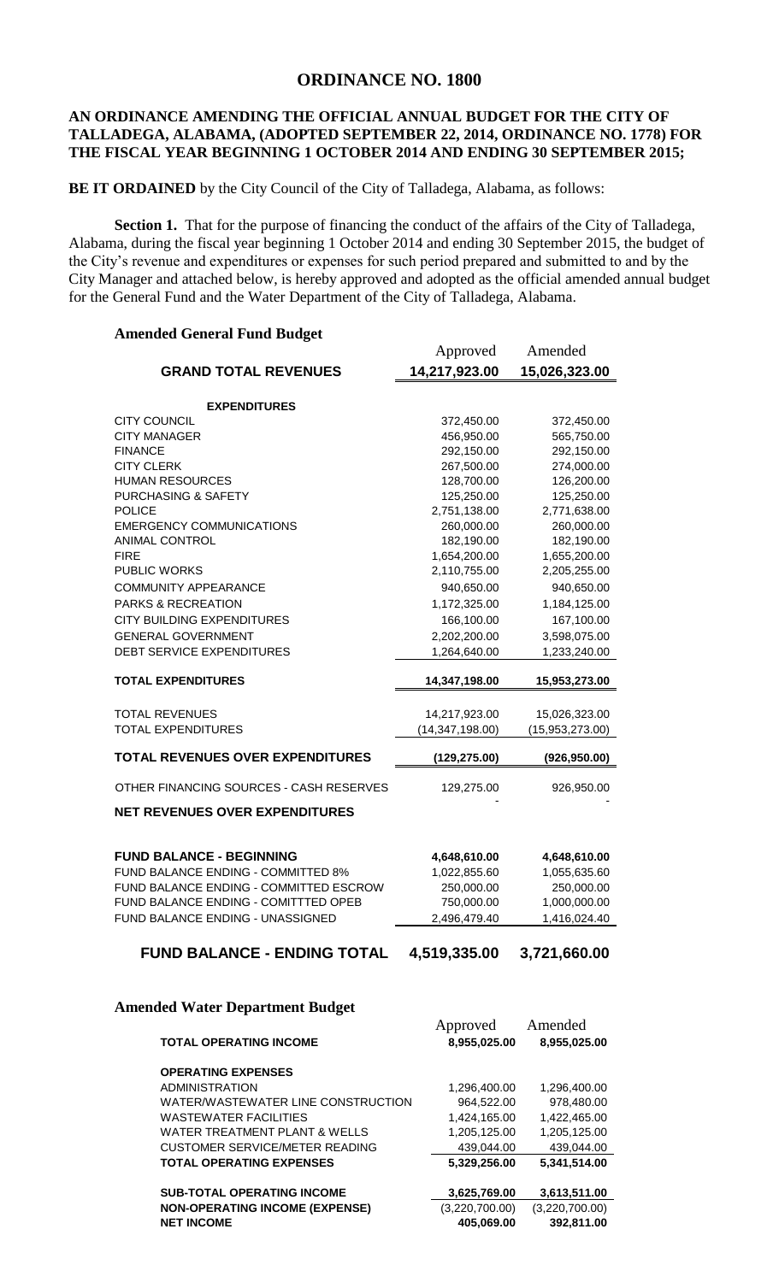# **ORDINANCE NO. 1800**

## **AN ORDINANCE AMENDING THE OFFICIAL ANNUAL BUDGET FOR THE CITY OF TALLADEGA, ALABAMA, (ADOPTED SEPTEMBER 22, 2014, ORDINANCE NO. 1778) FOR THE FISCAL YEAR BEGINNING 1 OCTOBER 2014 AND ENDING 30 SEPTEMBER 2015;**

### **BE IT ORDAINED** by the City Council of the City of Talladega, Alabama, as follows:

**Section 1.** That for the purpose of financing the conduct of the affairs of the City of Talladega, Alabama, during the fiscal year beginning 1 October 2014 and ending 30 September 2015, the budget of the City's revenue and expenditures or expenses for such period prepared and submitted to and by the City Manager and attached below, is hereby approved and adopted as the official amended annual budget for the General Fund and the Water Department of the City of Talladega, Alabama.

## **Amended General Fund Budget**

|                                         | Approved          | Amended         |
|-----------------------------------------|-------------------|-----------------|
| <b>GRAND TOTAL REVENUES</b>             | 14,217,923.00     | 15,026,323.00   |
| <b>EXPENDITURES</b>                     |                   |                 |
| <b>CITY COUNCIL</b>                     | 372,450.00        | 372,450.00      |
| <b>CITY MANAGER</b>                     | 456,950.00        | 565,750.00      |
| <b>FINANCE</b>                          | 292,150.00        | 292,150.00      |
| <b>CITY CLERK</b>                       | 267,500.00        | 274,000.00      |
| <b>HUMAN RESOURCES</b>                  | 128,700.00        | 126,200.00      |
| <b>PURCHASING &amp; SAFETY</b>          | 125,250.00        | 125,250.00      |
| <b>POLICE</b>                           | 2,751,138.00      | 2,771,638.00    |
| <b>EMERGENCY COMMUNICATIONS</b>         | 260,000.00        | 260,000.00      |
| <b>ANIMAL CONTROL</b>                   | 182,190.00        | 182,190.00      |
| <b>FIRE</b>                             | 1,654,200.00      | 1,655,200.00    |
| <b>PUBLIC WORKS</b>                     | 2,110,755.00      | 2,205,255.00    |
| <b>COMMUNITY APPEARANCE</b>             | 940,650.00        | 940,650.00      |
| <b>PARKS &amp; RECREATION</b>           | 1,172,325.00      | 1,184,125.00    |
| <b>CITY BUILDING EXPENDITURES</b>       | 166,100.00        | 167,100.00      |
| <b>GENERAL GOVERNMENT</b>               | 2,202,200.00      | 3,598,075.00    |
| <b>DEBT SERVICE EXPENDITURES</b>        | 1,264,640.00      | 1,233,240.00    |
|                                         |                   |                 |
| <b>TOTAL EXPENDITURES</b>               | 14,347,198.00     | 15,953,273.00   |
|                                         |                   |                 |
| <b>TOTAL REVENUES</b>                   | 14,217,923.00     | 15,026,323.00   |
| <b>TOTAL EXPENDITURES</b>               | (14, 347, 198.00) | (15,953,273.00) |
| <b>TOTAL REVENUES OVER EXPENDITURES</b> | (129, 275.00)     | (926, 950.00)   |
| OTHER FINANCING SOURCES - CASH RESERVES | 129,275.00        | 926,950.00      |
| <b>NET REVENUES OVER EXPENDITURES</b>   |                   |                 |
|                                         |                   |                 |
| <b>FUND BALANCE - BEGINNING</b>         | 4,648,610.00      | 4,648,610.00    |
| FUND BALANCE ENDING - COMMITTED 8%      | 1,022,855.60      | 1,055,635.60    |
| FUND BALANCE ENDING - COMMITTED ESCROW  | 250,000.00        | 250,000.00      |
| FUND BALANCE ENDING - COMITTTED OPEB    | 750,000.00        | 1,000,000.00    |
| FUND BALANCE ENDING - UNASSIGNED        | 2,496,479.40      | 1,416,024.40    |
|                                         |                   |                 |
| <b>FUND BALANCE - ENDING TOTAL</b>      | 4,519,335.00      | 3,721,660.00    |

#### **Amended Water Department Budget**

| aca water Department Duuget           |                          |                         |
|---------------------------------------|--------------------------|-------------------------|
| <b>TOTAL OPERATING INCOME</b>         | Approved<br>8,955,025.00 | Amended<br>8,955,025.00 |
| <b>OPERATING EXPENSES</b>             |                          |                         |
| <b>ADMINISTRATION</b>                 | 1,296,400.00             | 1,296,400.00            |
| WATER/WASTEWATER LINE CONSTRUCTION    | 964.522.00               | 978.480.00              |
| <b>WASTEWATER FACILITIES</b>          | 1,424,165.00             | 1,422,465.00            |
| WATER TREATMENT PLANT & WELLS         | 1.205.125.00             | 1.205.125.00            |
| CUSTOMER SERVICE/METER READING        | 439,044.00               | 439.044.00              |
| <b>TOTAL OPERATING EXPENSES</b>       | 5,329,256.00             | 5,341,514.00            |
|                                       |                          |                         |
| <b>SUB-TOTAL OPERATING INCOME</b>     | 3,625,769.00             | 3,613,511.00            |
| <b>NON-OPERATING INCOME (EXPENSE)</b> | (3,220,700.00)           | (3,220,700.00)          |
| <b>NET INCOME</b>                     | 405,069.00               | 392,811.00              |
|                                       |                          |                         |